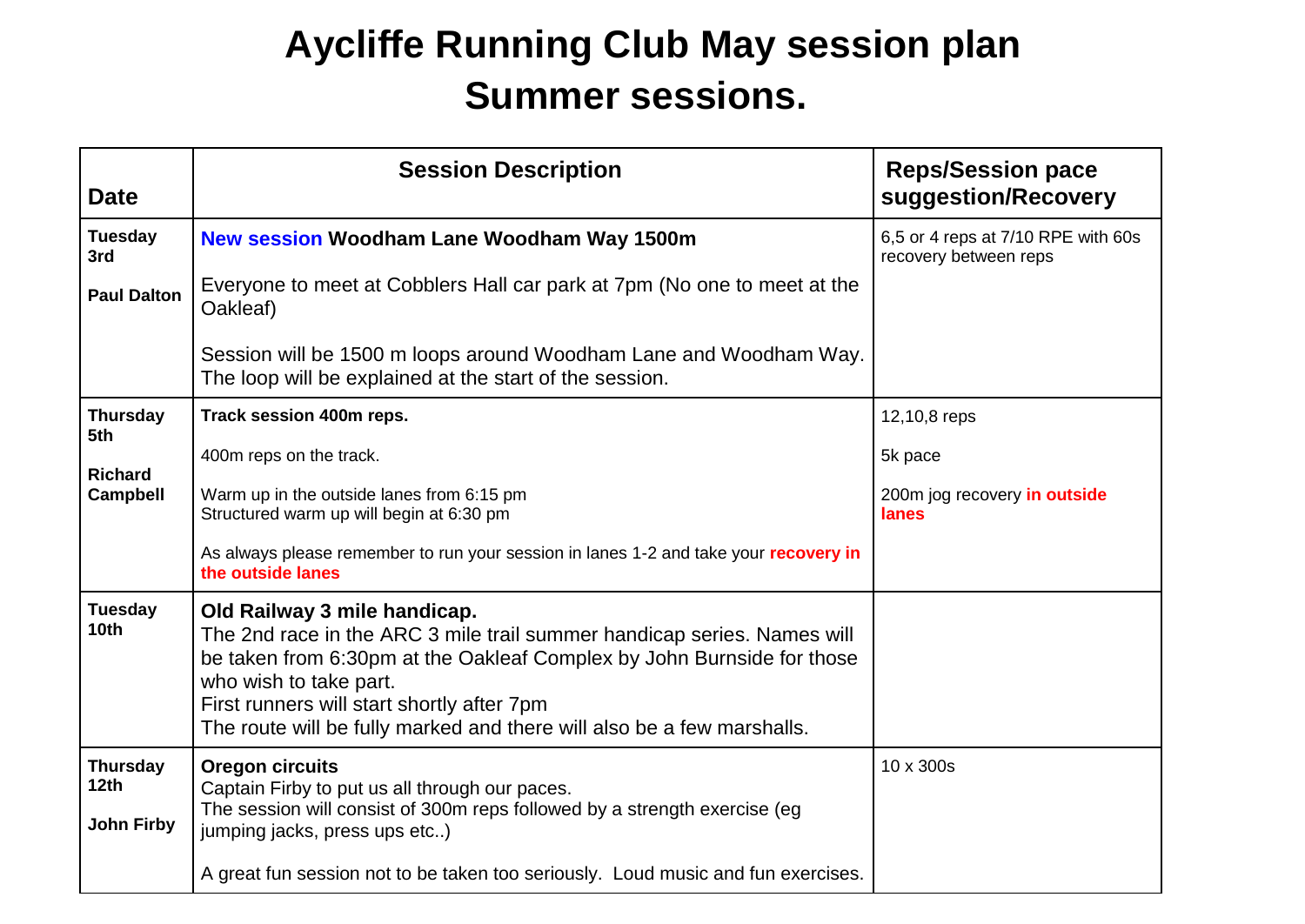## **Aycliffe Running Club May session plan Summer sessions.**

| <b>Date</b>                                              | <b>Session Description</b>                                                                                                                                                                                                                                                                                                          | <b>Reps/Session pace</b><br>suggestion/Recovery             |
|----------------------------------------------------------|-------------------------------------------------------------------------------------------------------------------------------------------------------------------------------------------------------------------------------------------------------------------------------------------------------------------------------------|-------------------------------------------------------------|
| <b>Tuesday</b><br>3rd                                    | <b>New session Woodham Lane Woodham Way 1500m</b>                                                                                                                                                                                                                                                                                   | 6,5 or 4 reps at 7/10 RPE with 60s<br>recovery between reps |
| <b>Paul Dalton</b>                                       | Everyone to meet at Cobblers Hall car park at 7pm (No one to meet at the<br>Oakleaf)                                                                                                                                                                                                                                                |                                                             |
|                                                          | Session will be 1500 m loops around Woodham Lane and Woodham Way.<br>The loop will be explained at the start of the session.                                                                                                                                                                                                        |                                                             |
| <b>Thursday</b><br>5th                                   | Track session 400m reps.                                                                                                                                                                                                                                                                                                            | 12,10,8 reps                                                |
|                                                          | 400m reps on the track.                                                                                                                                                                                                                                                                                                             | 5k pace                                                     |
| <b>Richard</b><br><b>Campbell</b>                        | Warm up in the outside lanes from 6:15 pm<br>Structured warm up will begin at 6:30 pm                                                                                                                                                                                                                                               | 200m jog recovery in outside<br>lanes                       |
|                                                          | As always please remember to run your session in lanes 1-2 and take your recovery in<br>the outside lanes                                                                                                                                                                                                                           |                                                             |
| <b>Tuesday</b><br>10 <sub>th</sub>                       | Old Railway 3 mile handicap.<br>The 2nd race in the ARC 3 mile trail summer handicap series. Names will<br>be taken from 6:30pm at the Oakleaf Complex by John Burnside for those<br>who wish to take part.<br>First runners will start shortly after 7pm<br>The route will be fully marked and there will also be a few marshalls. |                                                             |
| <b>Thursday</b><br>12 <sub>th</sub><br><b>John Firby</b> | Oregon circuits<br>Captain Firby to put us all through our paces.<br>The session will consist of 300m reps followed by a strength exercise (eg<br>jumping jacks, press ups etc)                                                                                                                                                     | 10 x 300s                                                   |
|                                                          | A great fun session not to be taken too seriously. Loud music and fun exercises.                                                                                                                                                                                                                                                    |                                                             |